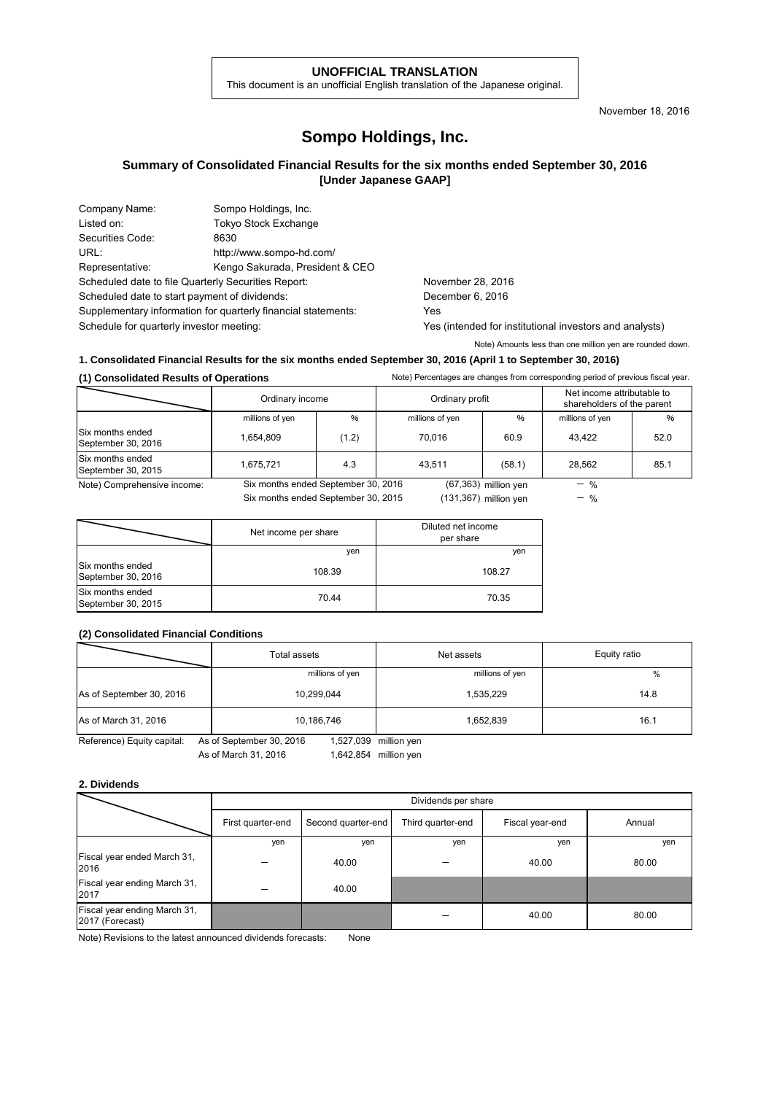#### **UNOFFICIAL TRANSLATION**

This document is an unofficial English translation of the Japanese original.

November 18, 2016

## **Sompo Holdings, Inc.**

### **Summary of Consolidated Financial Results for the six months ended September 30, 2016 [Under Japanese GAAP]**

Company Name: Sompo Holdings, Inc. Listed on: Tokyo Stock Exchange Securities Code: 8630 URL: http://www.sompo-hd.com/ Representative: Kengo Sakurada, President & CEO Scheduled date to file Quarterly Securities Report: November 28, 2016 Scheduled date to start payment of dividends: December 6, 2016 Supplementary information for quarterly financial statements: Yes Schedule for quarterly investor meeting:  $Y$ es (intended for institutional investors and analysts)

Note) Amounts less than one million yen are rounded down.

#### **1. Consolidated Financial Results for the six months ended September 30, 2016 (April 1 to September 30, 2016)**

**(1) Consolidated Results of Operations** Note) Percentages are changes from corresponding period of previous fiscal year.

|                                        | Ordinary income                     |       | Ordinary profit |                       | Net income attributable to<br>shareholders of the parent |      |
|----------------------------------------|-------------------------------------|-------|-----------------|-----------------------|----------------------------------------------------------|------|
|                                        | millions of yen                     | %     | millions of yen | %                     | millions of yen                                          | %    |
| Six months ended<br>September 30, 2016 | 1.654.809                           | (1.2) | 70.016          | 60.9                  | 43.422                                                   | 52.0 |
| Six months ended<br>September 30, 2015 | 1,675,721                           | 4.3   | 43.511          | (58.1)                | 28.562                                                   | 85.1 |
| Note) Comprehensive income:            | Six months ended September 30, 2016 |       |                 | (67,363) million yen  | $-$ %                                                    |      |
|                                        | Six months ended September 30, 2015 |       |                 | (131,367) million yen | - %                                                      |      |

|                                        | Net income per share | Diluted net income<br>per share |
|----------------------------------------|----------------------|---------------------------------|
|                                        | ven                  | yen                             |
| Six months ended<br>September 30, 2016 | 108.39               | 108.27                          |
| Six months ended<br>September 30, 2015 | 70.44                | 70.35                           |

#### **(2) Consolidated Financial Conditions**

| millions of yen | millions of yen                                                                                                                                                                                                                                                                                                                                                                                                                                                                                      | %        |
|-----------------|------------------------------------------------------------------------------------------------------------------------------------------------------------------------------------------------------------------------------------------------------------------------------------------------------------------------------------------------------------------------------------------------------------------------------------------------------------------------------------------------------|----------|
| 10,299,044      | 1,535,229                                                                                                                                                                                                                                                                                                                                                                                                                                                                                            | 14.8     |
| 10,186,746      | 1,652,839                                                                                                                                                                                                                                                                                                                                                                                                                                                                                            | 16.1     |
|                 | 1.52300<br>$\blacksquare$ . $\blacksquare$ . $\blacksquare$ . $\blacksquare$ . $\blacksquare$ . $\blacksquare$ . $\blacksquare$ . $\blacksquare$ . $\blacksquare$ . $\blacksquare$ . $\blacksquare$ . $\blacksquare$ . $\blacksquare$ . $\blacksquare$ . $\blacksquare$ . $\blacksquare$ . $\blacksquare$ . $\blacksquare$ . $\blacksquare$ . $\blacksquare$ . $\blacksquare$ . $\blacksquare$ . $\blacksquare$ . $\blacksquare$ . $\blacksquare$ . $\blacksquare$ . $\blacksquare$ . $\blacksquare$ | $\cdots$ |

Reference) Equity capital: As of September 30, 2016 As of March 31, 2016 1,642,854 million yen 1,527,039

#### **2. Dividends**

|                                                 |                   | Dividends per share |                   |                 |        |  |  |
|-------------------------------------------------|-------------------|---------------------|-------------------|-----------------|--------|--|--|
|                                                 | First quarter-end | Second quarter-end  | Third quarter-end | Fiscal year-end | Annual |  |  |
|                                                 | yen               | ven                 | yen               | ven             | yen    |  |  |
| Fiscal year ended March 31,<br>2016             |                   | 40.00               |                   | 40.00           | 80.00  |  |  |
| Fiscal year ending March 31,<br>2017            |                   | 40.00               |                   |                 |        |  |  |
| Fiscal year ending March 31,<br>2017 (Forecast) |                   |                     |                   | 40.00           | 80.00  |  |  |

Note) Revisions to the latest announced dividends forecasts: None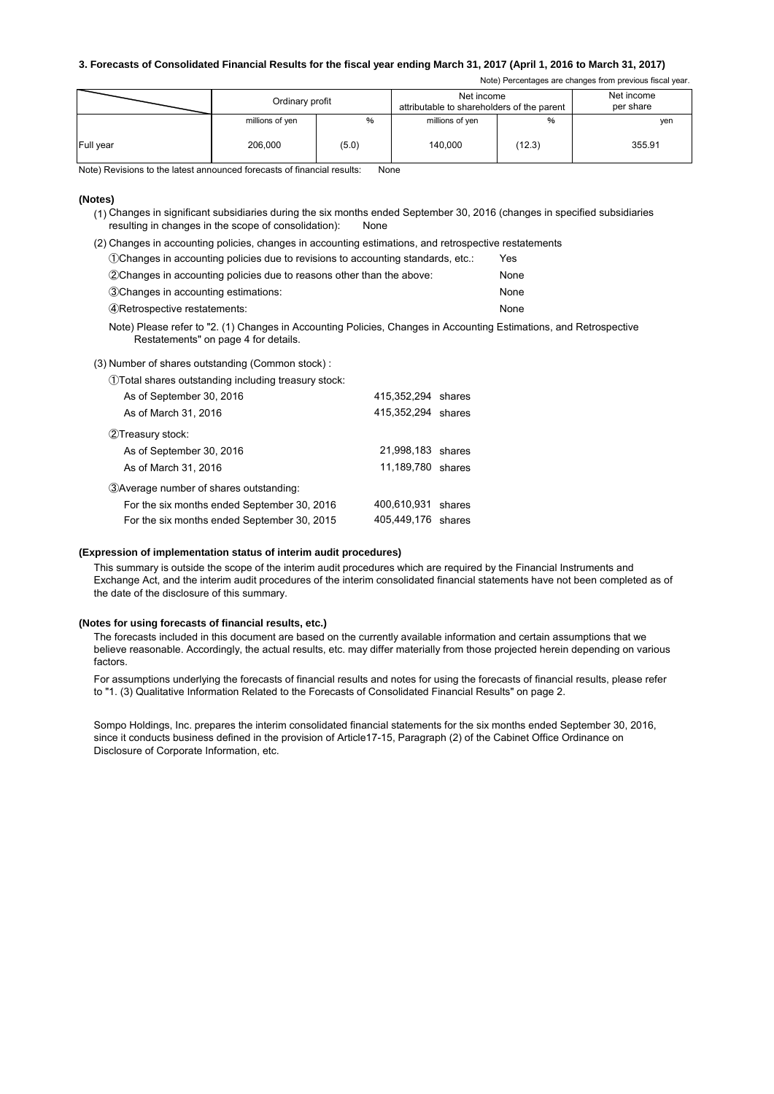#### **3. Forecasts of Consolidated Financial Results for the fiscal year ending March 31, 2017 (April 1, 2016 to March 31, 2017)**

Note) Percentages are changes from previous fiscal year.

|           | Ordinary profit |       | Net income<br>attributable to shareholders of the parent |        | Net income<br>per share |  |
|-----------|-----------------|-------|----------------------------------------------------------|--------|-------------------------|--|
|           | millions of yen | %     | millions of yen                                          | %      | yen                     |  |
| Full year | 206.000         | (5.0) | 140.000                                                  | (12.3) | 355.91                  |  |

Note) Revisions to the latest announced forecasts of financial results: None

#### **(Notes)**

- (1) Changes in significant subsidiaries during the six months ended September 30, 2016 (changes in specified subsidiaries resulting in changes in the scope of consolidation): None
- (2) Changes in accounting policies, changes in accounting estimations, and retrospective restatements ①Changes in accounting policies due to revisions to accounting standards, etc.: Yes

| OCHariges in accounting policies due to revisions to accounting standards, etc | 155  |
|--------------------------------------------------------------------------------|------|
| 20 Changes in accounting policies due to reasons other than the above:         | None |
| 3 Changes in accounting estimations:                                           | None |
| 4 Retrospective restatements:                                                  | None |
|                                                                                |      |

Note) Please refer to "2. (1) Changes in Accounting Policies, Changes in Accounting Estimations, and Retrospective Restatements" on page 4 for details.

(3) Number of shares outstanding (Common stock) :

| 1) Total shares outstanding including treasury stock: |                    |  |
|-------------------------------------------------------|--------------------|--|
| As of September 30, 2016                              | 415,352,294 shares |  |
| As of March 31, 2016                                  | 415,352,294 shares |  |
| 2Treasury stock:                                      |                    |  |
| As of September 30, 2016                              | 21,998,183 shares  |  |
| As of March 31, 2016                                  | 11,189,780 shares  |  |
| 3) Average number of shares outstanding:              |                    |  |
| For the six months ended September 30, 2016           | 400,610,931 shares |  |
| For the six months ended September 30, 2015           | 405,449,176 shares |  |

#### **(Expression of implementation status of interim audit procedures)**

This summary is outside the scope of the interim audit procedures which are required by the Financial Instruments and Exchange Act, and the interim audit procedures of the interim consolidated financial statements have not been completed as of the date of the disclosure of this summary.

#### **(Notes for using forecasts of financial results, etc.)**

The forecasts included in this document are based on the currently available information and certain assumptions that we believe reasonable. Accordingly, the actual results, etc. may differ materially from those projected herein depending on various factors.

For assumptions underlying the forecasts of financial results and notes for using the forecasts of financial results, please refer to "1. (3) Qualitative Information Related to the Forecasts of Consolidated Financial Results" on page 2.

Sompo Holdings, Inc. prepares the interim consolidated financial statements for the six months ended September 30, 2016, since it conducts business defined in the provision of Article17-15, Paragraph (2) of the Cabinet Office Ordinance on Disclosure of Corporate Information, etc.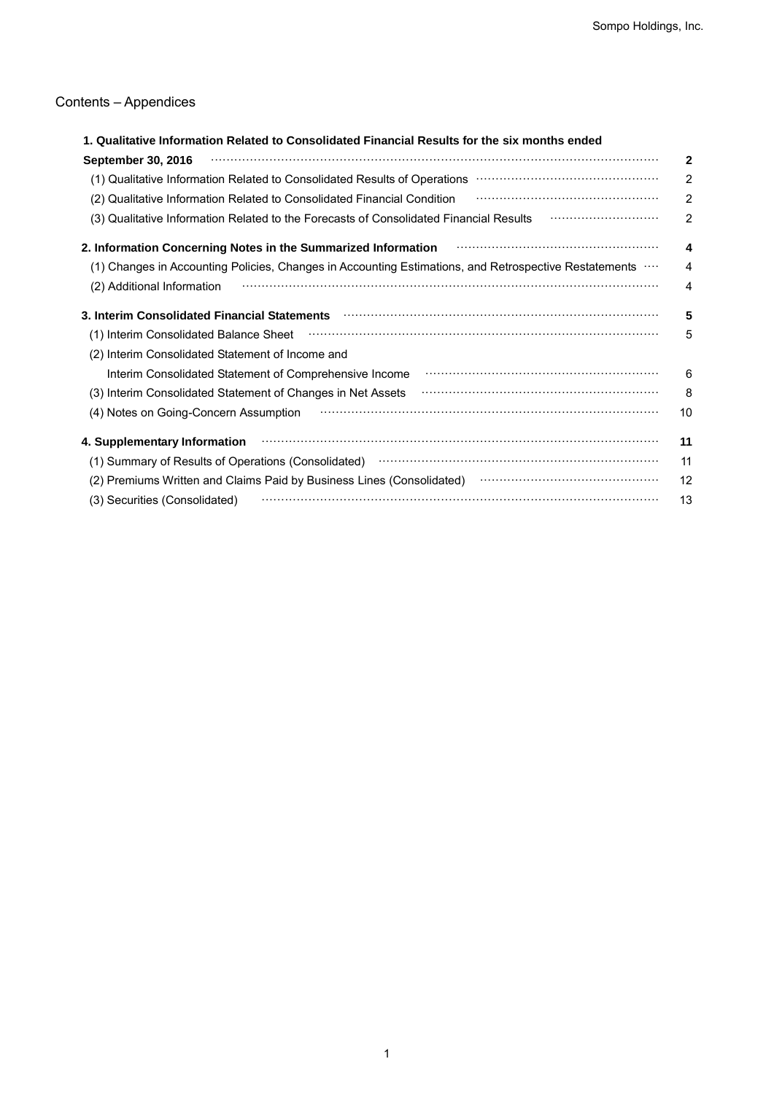## Contents – Appendices

| itents – Appendices                                                                                                                                                                                                                                                                                                                                                                                                                                                                                                              |  |
|----------------------------------------------------------------------------------------------------------------------------------------------------------------------------------------------------------------------------------------------------------------------------------------------------------------------------------------------------------------------------------------------------------------------------------------------------------------------------------------------------------------------------------|--|
| 1. Qualitative Information Related to Consolidated Financial Results for the six months ended                                                                                                                                                                                                                                                                                                                                                                                                                                    |  |
| September 30, 2016                                                                                                                                                                                                                                                                                                                                                                                                                                                                                                               |  |
| (1) Qualitative Information Related to Consolidated Results of Operations (1) Qualitative Information Related to Consolidated Results of Operations (1)                                                                                                                                                                                                                                                                                                                                                                          |  |
| (2) Qualitative Information Related to Consolidated Financial Condition<br>(3) Qualitative Information Related to the Forecasts of Consolidated Financial Results                                                                                                                                                                                                                                                                                                                                                                |  |
| 2. Information Concerning Notes in the Summarized Information                                                                                                                                                                                                                                                                                                                                                                                                                                                                    |  |
| (1) Changes in Accounting Policies, Changes in Accounting Estimations, and Retrospective Restatements<br>(2) Additional Information                                                                                                                                                                                                                                                                                                                                                                                              |  |
| 3. Interim Consolidated Financial Statements <b>With Construction Construction</b> Consolidated Tinancial Statements                                                                                                                                                                                                                                                                                                                                                                                                             |  |
| $\begin{minipage}{.4\linewidth} \begin{tabular}{l} \hline \multicolumn{3}{l}{} & \multicolumn{3}{l}{} & \multicolumn{3}{l}{} & \multicolumn{3}{l}{} & \multicolumn{3}{l}{} & \multicolumn{3}{l}{} & \multicolumn{3}{l}{} & \multicolumn{3}{l}{} & \multicolumn{3}{l}{} & \multicolumn{3}{l}{} & \multicolumn{3}{l}{} & \multicolumn{3}{l}{} & \multicolumn{3}{l}{} & \multicolumn{3}{l}{} & \multicolumn{3}{l}{} & \multicolumn{3}{l}{} & \multicolumn{3}{l}{} & \multicolumn{3}{l}{}$<br>(1) Interim Consolidated Balance Sheet |  |
| (2) Interim Consolidated Statement of Income and                                                                                                                                                                                                                                                                                                                                                                                                                                                                                 |  |
| Interim Consolidated Statement of Comprehensive Income manufactured consumer consolidated Statement of Comprehensive Income manufactured consumers and the United Statement of Comprehensive Income                                                                                                                                                                                                                                                                                                                              |  |
| (3) Interim Consolidated Statement of Changes in Net Assets                                                                                                                                                                                                                                                                                                                                                                                                                                                                      |  |
| (4) Notes on Going-Concern Assumption                                                                                                                                                                                                                                                                                                                                                                                                                                                                                            |  |
| 4. Supplementary Information                                                                                                                                                                                                                                                                                                                                                                                                                                                                                                     |  |
| (1) Summary of Results of Operations (Consolidated) manufactured control of the summary of Results of Operations (Consolidated)                                                                                                                                                                                                                                                                                                                                                                                                  |  |
| (2) Premiums Written and Claims Paid by Business Lines (Consolidated) manufactured controller and Claims Paid by Business Lines (Consolidated)                                                                                                                                                                                                                                                                                                                                                                                   |  |
|                                                                                                                                                                                                                                                                                                                                                                                                                                                                                                                                  |  |
|                                                                                                                                                                                                                                                                                                                                                                                                                                                                                                                                  |  |
|                                                                                                                                                                                                                                                                                                                                                                                                                                                                                                                                  |  |
|                                                                                                                                                                                                                                                                                                                                                                                                                                                                                                                                  |  |
|                                                                                                                                                                                                                                                                                                                                                                                                                                                                                                                                  |  |
|                                                                                                                                                                                                                                                                                                                                                                                                                                                                                                                                  |  |
|                                                                                                                                                                                                                                                                                                                                                                                                                                                                                                                                  |  |
|                                                                                                                                                                                                                                                                                                                                                                                                                                                                                                                                  |  |
|                                                                                                                                                                                                                                                                                                                                                                                                                                                                                                                                  |  |
|                                                                                                                                                                                                                                                                                                                                                                                                                                                                                                                                  |  |
|                                                                                                                                                                                                                                                                                                                                                                                                                                                                                                                                  |  |
|                                                                                                                                                                                                                                                                                                                                                                                                                                                                                                                                  |  |
|                                                                                                                                                                                                                                                                                                                                                                                                                                                                                                                                  |  |
|                                                                                                                                                                                                                                                                                                                                                                                                                                                                                                                                  |  |
|                                                                                                                                                                                                                                                                                                                                                                                                                                                                                                                                  |  |
|                                                                                                                                                                                                                                                                                                                                                                                                                                                                                                                                  |  |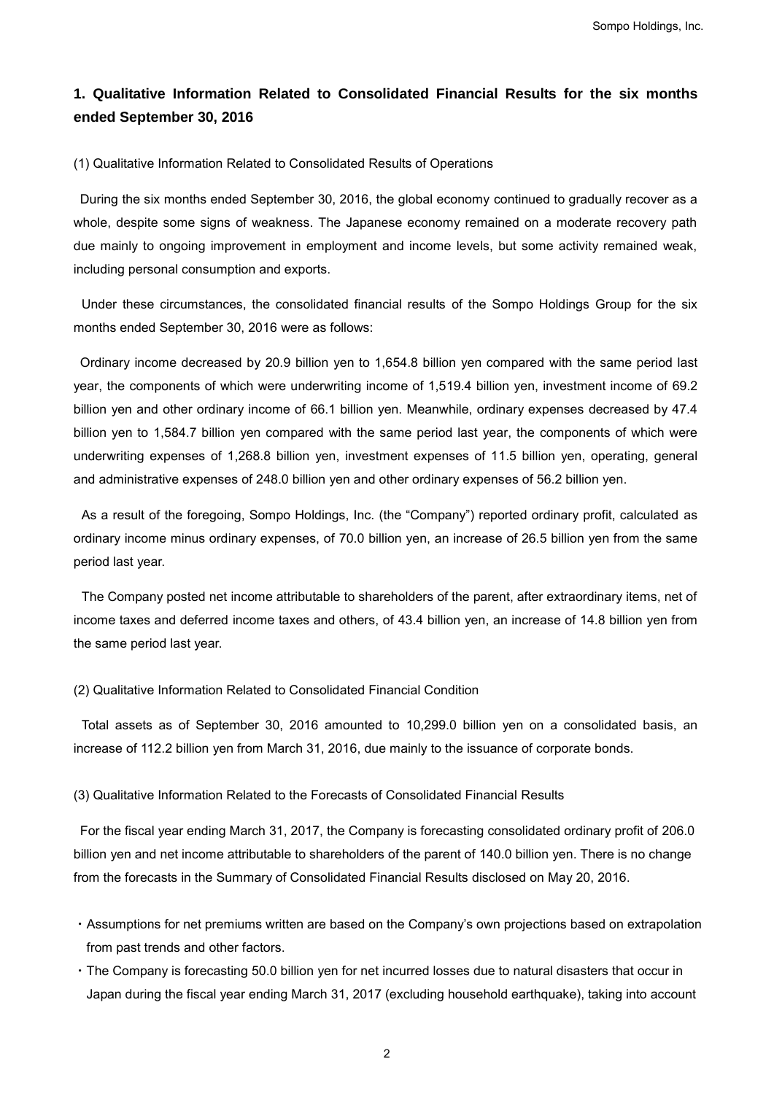## **1. Qualitative Information Related to Consolidated Financial Results for the six months ended September 30, 2016**

(1) Qualitative Information Related to Consolidated Results of Operations

During the six months ended September 30, 2016, the global economy continued to gradually recover as a whole, despite some signs of weakness. The Japanese economy remained on a moderate recovery path due mainly to ongoing improvement in employment and income levels, but some activity remained weak, including personal consumption and exports.

Under these circumstances, the consolidated financial results of the Sompo Holdings Group for the six months ended September 30, 2016 were as follows:

Ordinary income decreased by 20.9 billion yen to 1,654.8 billion yen compared with the same period last year, the components of which were underwriting income of 1,519.4 billion yen, investment income of 69.2 billion yen and other ordinary income of 66.1 billion yen. Meanwhile, ordinary expenses decreased by 47.4 billion yen to 1,584.7 billion yen compared with the same period last year, the components of which were underwriting expenses of 1,268.8 billion yen, investment expenses of 11.5 billion yen, operating, general and administrative expenses of 248.0 billion yen and other ordinary expenses of 56.2 billion yen. Sompo Holdings, Inc.<br>
iddated Financial Results for the six months<br>
sulls of Operations<br>
e global economy continued to gradually recover as a<br>
sese economy remained on a moderate recovery path<br>
and income levels, but some

As a result of the foregoing, Sompo Holdings, Inc. (the "Company") reported ordinary profit, calculated as ordinary income minus ordinary expenses, of 70.0 billion yen, an increase of 26.5 billion yen from the same period last year.

The Company posted net income attributable to shareholders of the parent, after extraordinary items, net of income taxes and deferred income taxes and others, of 43.4 billion yen, an increase of 14.8 billion yen from the same period last year.

#### (2) Qualitative Information Related to Consolidated Financial Condition

Total assets as of September 30, 2016 amounted to 10,299.0 billion yen on a consolidated basis, an increase of 112.2 billion yen from March 31, 2016, due mainly to the issuance of corporate bonds.

(3) Qualitative Information Related to the Forecasts of Consolidated Financial Results

For the fiscal year ending March 31, 2017, the Company is forecasting consolidated ordinary profit of 206.0 billion yen and net income attributable to shareholders of the parent of 140.0 billion yen. There is no change from the forecasts in the Summary of Consolidated Financial Results disclosed on May 20, 2016.

- ・Assumptions for net premiums written are based on the Company's own projections based on extrapolation from past trends and other factors.
- ・The Company is forecasting 50.0 billion yen for net incurred losses due to natural disasters that occur in Japan during the fiscal year ending March 31, 2017 (excluding household earthquake), taking into account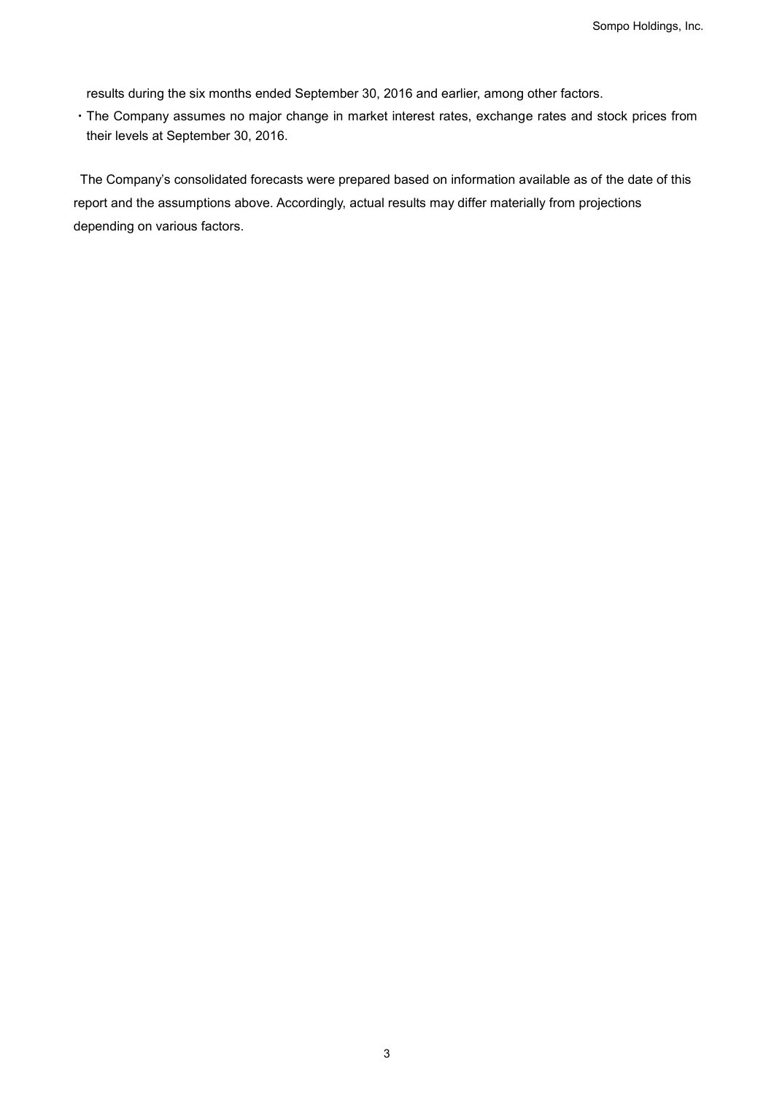results during the six months ended September 30, 2016 and earlier, among other factors.

・The Company assumes no major change in market interest rates, exchange rates and stock prices from their levels at September 30, 2016.

The Company's consolidated forecasts were prepared based on information available as of the date of this report and the assumptions above. Accordingly, actual results may differ materially from projections depending on various factors. Sompo Holdings, Inc.<br>2016 and earlier, among other factors.<br>with interest rates, exchange rates and stock prices from<br>d based on information available as of the date of this<br>results may differ materially from projections<br>3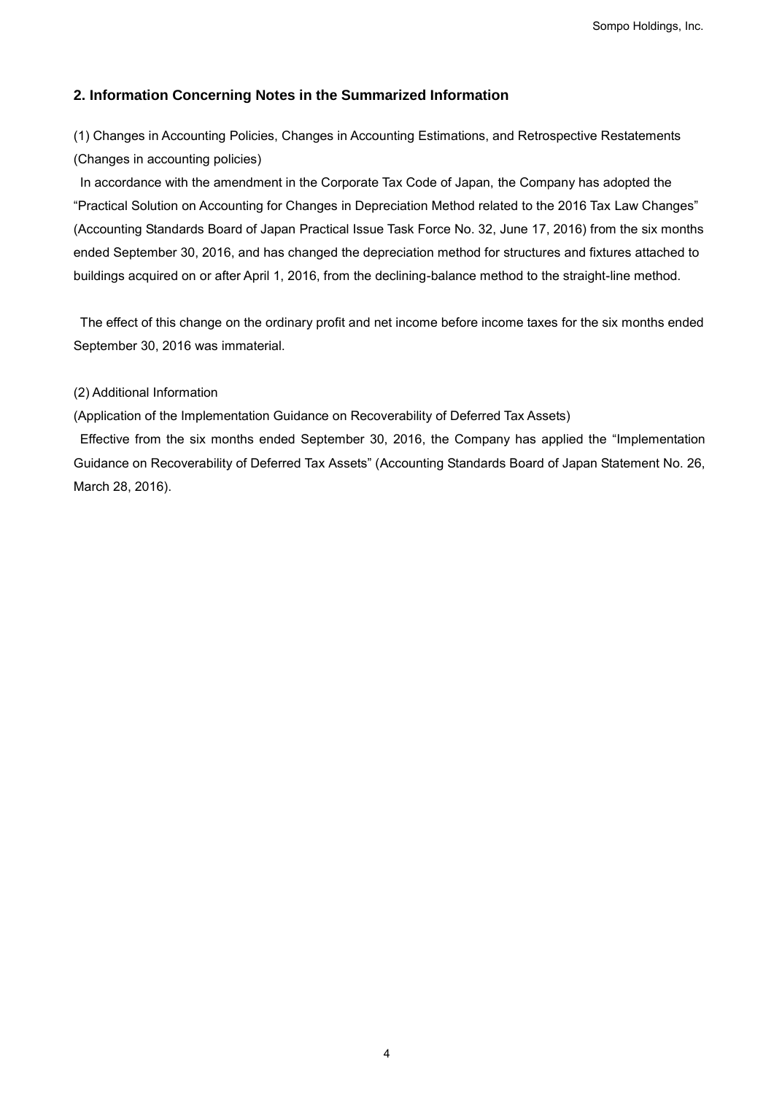### **2. Information Concerning Notes in the Summarized Information**

(1) Changes in Accounting Policies, Changes in Accounting Estimations, and Retrospective Restatements (Changes in accounting policies)

In accordance with the amendment in the Corporate Tax Code of Japan, the Company has adopted the "Practical Solution on Accounting for Changes in Depreciation Method related to the 2016 Tax Law Changes" (Accounting Standards Board of Japan Practical Issue Task Force No. 32, June 17, 2016) from the six months ended September 30, 2016, and has changed the depreciation method for structures and fixtures attached to buildings acquired on or after April 1, 2016, from the declining-balance method to the straight-line method. Sompo Holdings, Inc.<br>
aarized Information<br>
Inding Estimations, and Retrospective Restatements<br>
Tax Code of Japan, the Company has adopted the<br>
Eciation Method related to the 2016 Tax Law Changes"<br>
Task Force No. 32, June 1

The effect of this change on the ordinary profit and net income before income taxes for the six months ended September 30, 2016 was immaterial.

### (2) Additional Information

(Application of the Implementation Guidance on Recoverability of Deferred Tax Assets)

Effective from the six months ended September 30, 2016, the Company has applied the "Implementation Guidance on Recoverability of Deferred Tax Assets" (Accounting Standards Board of Japan Statement No. 26, March 28, 2016).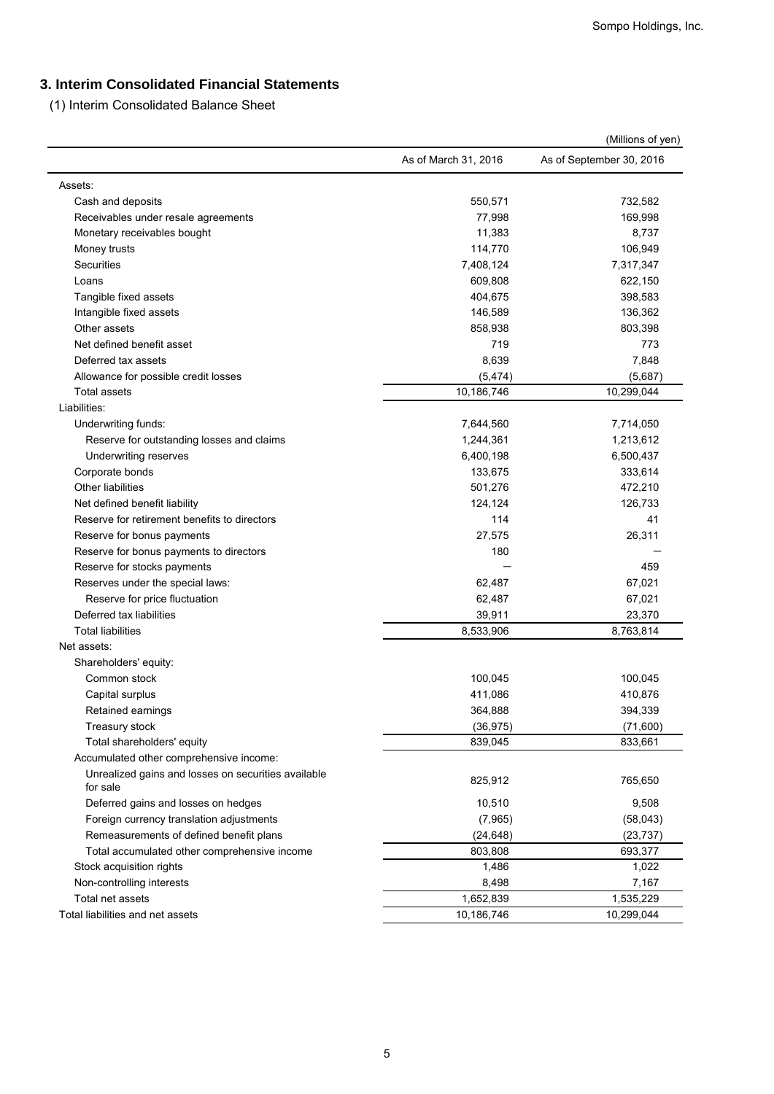## **3. Interim Consolidated Financial Statements**

|                                                                 |                        | (Millions of yen)        |
|-----------------------------------------------------------------|------------------------|--------------------------|
|                                                                 | As of March 31, 2016   | As of September 30, 2016 |
| Assets:                                                         |                        |                          |
| Cash and deposits                                               | 550,571                | 732,582                  |
| Receivables under resale agreements                             | 77,998                 | 169,998                  |
| Monetary receivables bought                                     | 11,383                 | 8,737                    |
| Money trusts                                                    | 114,770                | 106,949                  |
| Securities                                                      | 7,408,124              | 7,317,347                |
| Loans                                                           | 609,808                | 622,150                  |
| Tangible fixed assets                                           | 404,675                | 398,583                  |
| Intangible fixed assets                                         | 146,589                | 136,362                  |
| Other assets                                                    | 858,938                | 803,398                  |
| Net defined benefit asset                                       | 719                    | 773                      |
| Deferred tax assets                                             | 8,639                  | 7,848                    |
| Allowance for possible credit losses                            | (5, 474)               | (5,687)                  |
| Total assets                                                    | 10,186,746             | 10,299,044               |
| Liabilities:                                                    |                        |                          |
| Underwriting funds:                                             | 7,644,560              | 7,714,050                |
| Reserve for outstanding losses and claims                       | 1,244,361<br>6,400,198 | 1,213,612<br>6,500,437   |
| Underwriting reserves<br>Corporate bonds                        | 133,675                | 333,614                  |
| <b>Other liabilities</b>                                        | 501,276                | 472,210                  |
| Net defined benefit liability                                   | 124,124                | 126,733                  |
| Reserve for retirement benefits to directors                    | 114                    | 41                       |
| Reserve for bonus payments                                      | 27,575                 | 26,311                   |
| Reserve for bonus payments to directors                         | 180                    |                          |
| Reserve for stocks payments                                     |                        | 459                      |
| Reserves under the special laws:                                | 62,487                 | 67,021                   |
| Reserve for price fluctuation                                   | 62,487                 | 67,021                   |
| Deferred tax liabilities                                        | 39,911                 | 23,370                   |
| <b>Total liabilities</b>                                        | 8,533,906              | 8,763,814                |
| Net assets:                                                     |                        |                          |
| Shareholders' equity:                                           |                        |                          |
| Common stock                                                    | 100,045                | 100,045                  |
| Capital surplus                                                 | 411,086                | 410,876                  |
| Retained earnings                                               | 364,888                | 394,339                  |
| Treasury stock                                                  | (36, 975)              | (71,600)                 |
| Total shareholders' equity                                      | 839,045                | 833,661                  |
| Accumulated other comprehensive income:                         |                        |                          |
| Unrealized gains and losses on securities available<br>for sale | 825,912                | 765,650                  |
| Deferred gains and losses on hedges                             | 10,510                 | 9,508                    |
| Foreign currency translation adjustments                        | (7,965)                | (58, 043)                |
| Remeasurements of defined benefit plans                         | (24, 648)              | (23, 737)                |
| Total accumulated other comprehensive income                    | 803,808                | 693,377                  |
| Stock acquisition rights                                        | 1,486                  | 1,022                    |
| Non-controlling interests                                       | 8,498                  | 7,167                    |
| Total net assets                                                | 1,652,839              | 1,535,229                |
| Total liabilities and net assets                                | 10,186,746             | 10,299,044               |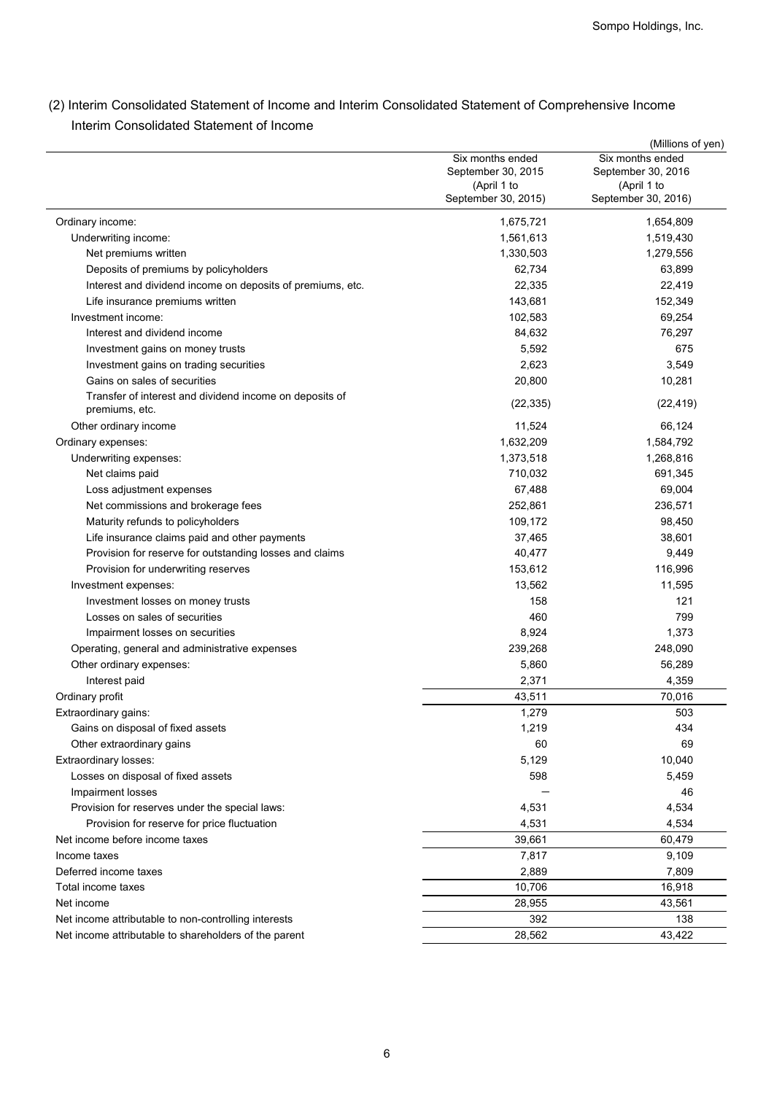|                                                                                         | Six months ended<br>September 30, 2015<br>(April 1 to<br>September 30, 2015) | (Millions of yen)<br>Six months ended<br>September 30, 2016<br>(April 1 to<br>September 30, 2016) |
|-----------------------------------------------------------------------------------------|------------------------------------------------------------------------------|---------------------------------------------------------------------------------------------------|
| Ordinary income:                                                                        | 1,675,721                                                                    | 1,654,809                                                                                         |
| Underwriting income:                                                                    | 1,561,613                                                                    | 1,519,430                                                                                         |
| Net premiums written                                                                    | 1,330,503                                                                    | 1,279,556                                                                                         |
| Deposits of premiums by policyholders                                                   | 62,734                                                                       | 63,899                                                                                            |
| Interest and dividend income on deposits of premiums, etc.                              | 22,335                                                                       | 22,419                                                                                            |
| Life insurance premiums written                                                         | 143,681                                                                      | 152,349                                                                                           |
| Investment income:                                                                      | 102,583                                                                      | 69,254                                                                                            |
| Interest and dividend income                                                            | 84,632                                                                       | 76,297                                                                                            |
| Investment gains on money trusts                                                        | 5,592                                                                        | 675                                                                                               |
| Investment gains on trading securities                                                  | 2,623                                                                        | 3,549                                                                                             |
| Gains on sales of securities<br>Transfer of interest and dividend income on deposits of | 20,800<br>(22, 335)                                                          | 10,281<br>(22, 419)                                                                               |
| premiums, etc.                                                                          |                                                                              |                                                                                                   |
| Other ordinary income                                                                   | 11,524                                                                       | 66,124                                                                                            |
| Ordinary expenses:                                                                      | 1,632,209                                                                    | 1,584,792                                                                                         |
| Underwriting expenses:                                                                  | 1,373,518                                                                    | 1,268,816                                                                                         |
| Net claims paid                                                                         | 710,032                                                                      | 691,345                                                                                           |
| Loss adjustment expenses                                                                | 67,488                                                                       | 69,004                                                                                            |
| Net commissions and brokerage fees                                                      | 252,861                                                                      | 236,571                                                                                           |
| Maturity refunds to policyholders                                                       | 109,172                                                                      | 98,450                                                                                            |
| Life insurance claims paid and other payments                                           | 37,465                                                                       | 38,601                                                                                            |
| Provision for reserve for outstanding losses and claims                                 | 40,477                                                                       | 9,449                                                                                             |
| Provision for underwriting reserves                                                     | 153,612                                                                      | 116,996                                                                                           |
| Investment expenses:                                                                    | 13,562                                                                       | 11,595                                                                                            |
| Investment losses on money trusts                                                       | 158                                                                          | 121                                                                                               |
| Losses on sales of securities                                                           | 460                                                                          | 799                                                                                               |
| Impairment losses on securities                                                         | 8,924<br>239,268                                                             | 1,373                                                                                             |
| Operating, general and administrative expenses                                          |                                                                              | 248,090                                                                                           |
| Other ordinary expenses:                                                                | 5,860<br>2,371                                                               | 56,289<br>4,359                                                                                   |
| Interest paid<br>Ordinary profit                                                        | 43,511                                                                       | 70,016                                                                                            |
| Extraordinary gains:                                                                    | 1,279                                                                        | 503                                                                                               |
| Gains on disposal of fixed assets                                                       | 1,219                                                                        | 434                                                                                               |
| Other extraordinary gains                                                               | 60                                                                           | 69                                                                                                |
| Extraordinary losses:                                                                   | 5,129                                                                        | 10,040                                                                                            |
| Losses on disposal of fixed assets                                                      | 598                                                                          | 5,459                                                                                             |
| Impairment losses                                                                       |                                                                              | 46                                                                                                |
| Provision for reserves under the special laws:                                          | 4,531                                                                        | 4,534                                                                                             |
| Provision for reserve for price fluctuation                                             | 4,531                                                                        | 4,534                                                                                             |
| Net income before income taxes                                                          | 39,661                                                                       | 60,479                                                                                            |
| Income taxes                                                                            | 7,817                                                                        | 9,109                                                                                             |
| Deferred income taxes                                                                   | 2,889                                                                        | 7,809                                                                                             |
| Total income taxes                                                                      | 10,706                                                                       | 16,918                                                                                            |
| Net income                                                                              | 28,955                                                                       | 43,561                                                                                            |
| Net income attributable to non-controlling interests                                    | 392                                                                          | 138                                                                                               |
| Net income attributable to shareholders of the parent                                   | 28,562                                                                       | 43,422                                                                                            |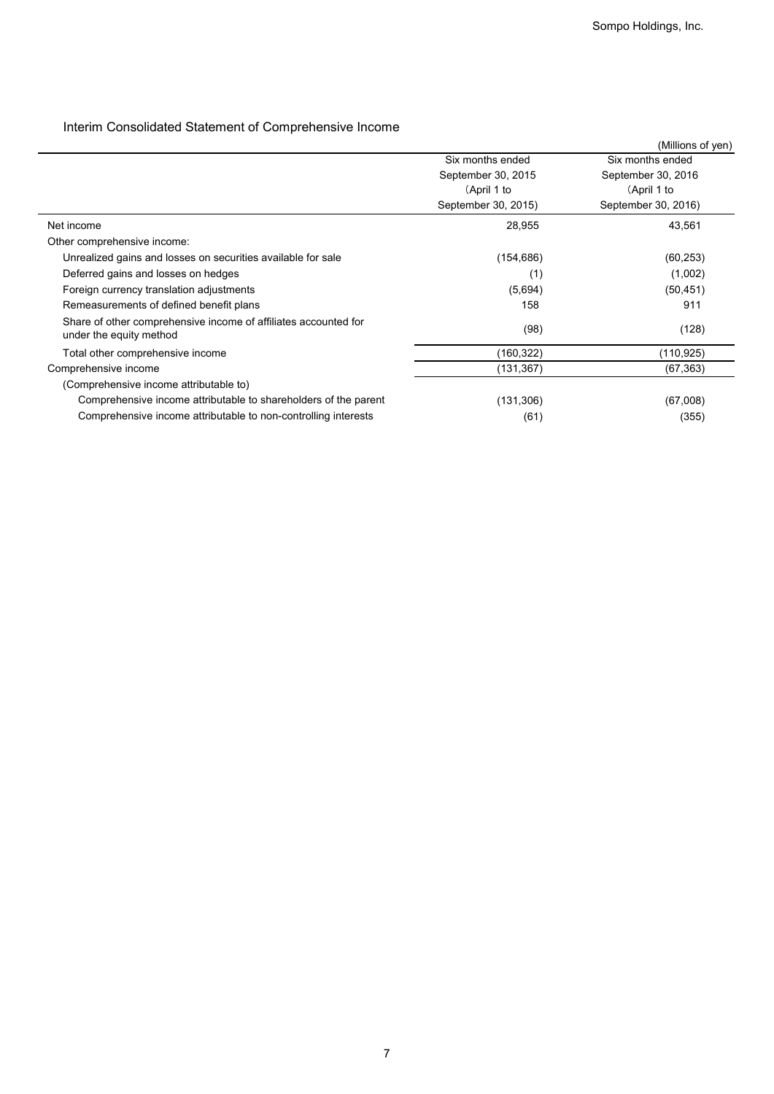## Interim Consolidated Statement of Comprehensive Income

|                                                                 |                     | Sompo Holdings, Inc.                  |
|-----------------------------------------------------------------|---------------------|---------------------------------------|
|                                                                 |                     |                                       |
|                                                                 |                     |                                       |
|                                                                 |                     |                                       |
|                                                                 |                     |                                       |
|                                                                 |                     |                                       |
| Interim Consolidated Statement of Comprehensive Income          |                     |                                       |
|                                                                 | Six months ended    | (Millions of yen)<br>Six months ended |
|                                                                 | September 30, 2015  | September 30, 2016                    |
|                                                                 | (April 1 to         | (April 1 to                           |
|                                                                 | September 30, 2015) | September 30, 2016)                   |
| Net income                                                      | 28,955              | 43,561                                |
| Other comprehensive income:                                     |                     |                                       |
| Unrealized gains and losses on securities available for sale    | (154, 686)          | (60, 253)                             |
| Deferred gains and losses on hedges                             | (1)                 | (1,002)                               |
| Foreign currency translation adjustments                        | (5,694)             | (50, 451)                             |
| Remeasurements of defined benefit plans                         | 158                 | 911                                   |
| Share of other comprehensive income of affiliates accounted for |                     |                                       |
| under the equity method                                         | (98)                | (128)                                 |
| Total other comprehensive income                                | (160, 322)          | (110, 925)                            |
| Comprehensive income                                            | (131, 367)          | (67, 363)                             |
| (Comprehensive income attributable to)                          |                     |                                       |
| Comprehensive income attributable to shareholders of the parent | (131, 306)          | (67,008)                              |
| Comprehensive income attributable to non-controlling interests  | (61)                | (355)                                 |
|                                                                 |                     |                                       |
|                                                                 |                     |                                       |
|                                                                 |                     |                                       |
|                                                                 |                     |                                       |
|                                                                 |                     |                                       |
|                                                                 |                     |                                       |
|                                                                 |                     |                                       |
|                                                                 |                     |                                       |
|                                                                 |                     |                                       |
|                                                                 |                     |                                       |
|                                                                 |                     |                                       |
|                                                                 |                     |                                       |
|                                                                 |                     |                                       |
|                                                                 |                     |                                       |
|                                                                 |                     |                                       |
|                                                                 |                     |                                       |
|                                                                 |                     |                                       |
|                                                                 |                     |                                       |
|                                                                 |                     |                                       |
|                                                                 |                     |                                       |
|                                                                 |                     |                                       |
|                                                                 |                     |                                       |
|                                                                 |                     |                                       |
|                                                                 |                     |                                       |
|                                                                 |                     |                                       |
|                                                                 |                     |                                       |
|                                                                 |                     |                                       |
|                                                                 |                     |                                       |
|                                                                 |                     |                                       |
|                                                                 |                     |                                       |
|                                                                 |                     |                                       |
|                                                                 |                     |                                       |
|                                                                 |                     |                                       |
|                                                                 |                     |                                       |
|                                                                 |                     |                                       |
|                                                                 |                     |                                       |
|                                                                 |                     |                                       |
|                                                                 |                     |                                       |
| $\overline{7}$                                                  |                     |                                       |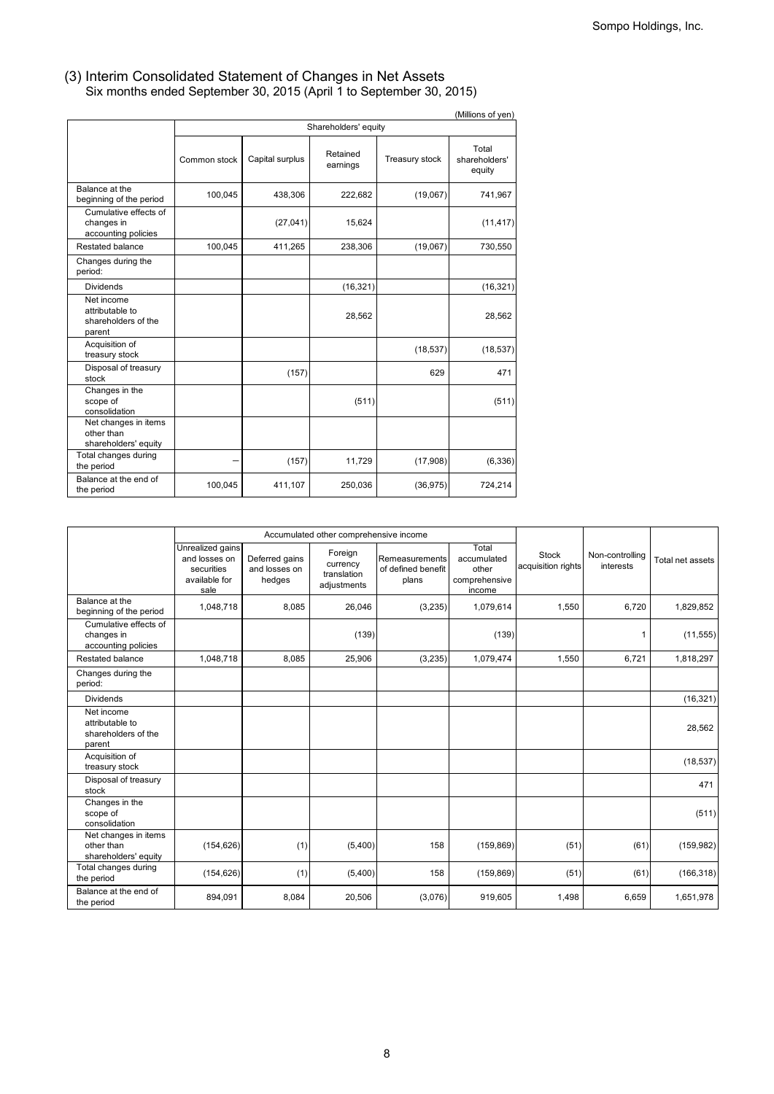# (3) Interim Consolidated Statement of Changes in Net Assets

|                                                                |              |                 |                      |                | (Millions of yen)                |
|----------------------------------------------------------------|--------------|-----------------|----------------------|----------------|----------------------------------|
|                                                                |              |                 | Shareholders' equity |                |                                  |
|                                                                | Common stock | Capital surplus | Retained<br>earnings | Treasury stock | Total<br>shareholders'<br>equity |
| Balance at the<br>beginning of the period                      | 100,045      | 438,306         | 222,682              | (19,067)       | 741,967                          |
| Cumulative effects of<br>changes in<br>accounting policies     |              | (27, 041)       | 15,624               |                | (11, 417)                        |
| Restated balance                                               | 100,045      | 411,265         | 238,306              | (19,067)       | 730,550                          |
| Changes during the<br>period:                                  |              |                 |                      |                |                                  |
| <b>Dividends</b>                                               |              |                 | (16, 321)            |                | (16, 321)                        |
| Net income<br>attributable to<br>shareholders of the<br>parent |              |                 | 28,562               |                | 28,562                           |
| Acquisition of<br>treasury stock                               |              |                 |                      | (18, 537)      | (18, 537)                        |
| Disposal of treasury<br>stock                                  |              | (157)           |                      | 629            | 471                              |
| Changes in the<br>scope of<br>consolidation                    |              |                 | (511)                |                | (511)                            |
| Net changes in items<br>other than<br>shareholders' equity     |              |                 |                      |                |                                  |
| Total changes during<br>the period                             |              | (157)           | 11,729               | (17,908)       | (6, 336)                         |
| Balance at the end of<br>the period                            | 100,045      | 411,107         | 250,036              | (36, 975)      | 724,214                          |

|                                                                |                                                      |                                           |                                                   |                                               | (Millions of yen)                               |                             |                              |                  |
|----------------------------------------------------------------|------------------------------------------------------|-------------------------------------------|---------------------------------------------------|-----------------------------------------------|-------------------------------------------------|-----------------------------|------------------------------|------------------|
|                                                                |                                                      |                                           | Shareholders' equity                              |                                               |                                                 |                             |                              |                  |
|                                                                | Common stock                                         | Capital surplus                           | Retained<br>earnings                              | Treasury stock                                | Total<br>shareholders'<br>equity                |                             |                              |                  |
| Balance at the<br>beginning of the period                      | 100,045                                              | 438,306                                   | 222,682                                           | (19,067)                                      | 741,967                                         |                             |                              |                  |
| Cumulative effects of<br>changes in<br>accounting policies     |                                                      | (27, 041)                                 | 15,624                                            |                                               | (11, 417)                                       |                             |                              |                  |
| Restated balance<br>Changes during the                         | 100,045                                              | 411,265                                   | 238,306                                           | (19,067)                                      | 730,550                                         |                             |                              |                  |
| period:<br><b>Dividends</b>                                    |                                                      |                                           | (16, 321)                                         |                                               | (16, 321)                                       |                             |                              |                  |
| Net income<br>attributable to<br>shareholders of the<br>parent |                                                      |                                           | 28,562                                            |                                               | 28,562                                          |                             |                              |                  |
| Acquisition of<br>treasury stock                               |                                                      |                                           |                                                   | (18, 537)                                     | (18, 537)                                       |                             |                              |                  |
| Disposal of treasury<br>stock<br>Changes in the                |                                                      | (157)                                     |                                                   | 629                                           | 471                                             |                             |                              |                  |
| scope of<br>consolidation                                      |                                                      |                                           | (511)                                             |                                               | (511)                                           |                             |                              |                  |
| Net changes in items<br>other than<br>shareholders' equity     |                                                      |                                           |                                                   |                                               |                                                 |                             |                              |                  |
| Total changes during<br>the period                             |                                                      | (157)                                     | 11,729                                            | (17,908)                                      | (6, 336)                                        |                             |                              |                  |
| Balance at the end of<br>the period                            | 100,045                                              | 411,107                                   | 250,036                                           | (36, 975)                                     | 724,214                                         |                             |                              |                  |
|                                                                |                                                      |                                           |                                                   |                                               |                                                 |                             |                              |                  |
|                                                                | Unrealized gains                                     |                                           | Accumulated other comprehensive income            |                                               | Total                                           |                             |                              |                  |
|                                                                | and losses on<br>securities<br>available for<br>sale | Deferred gains<br>and losses on<br>hedges | Foreign<br>currency<br>translation<br>adjustments | Remeasurements<br>of defined benefit<br>plans | accumulated<br>other<br>comprehensive<br>income | Stock<br>acquisition rights | Non-controlling<br>interests | Total net assets |
| Balance at the<br>beginning of the period                      | 1,048,718                                            | 8,085                                     | 26,046                                            | (3, 235)                                      | 1,079,614                                       | 1,550                       | 6,720                        | 1,829,852        |
| Cumulative effects of<br>changes in<br>accounting policies     |                                                      |                                           | (139)                                             |                                               | (139)                                           |                             | 1                            | (11, 555)        |
| Restated balance                                               | 1,048,718                                            | 8,085                                     | 25,906                                            | (3, 235)                                      | 1,079,474                                       | 1,550                       | 6,721                        | 1,818,297        |
| Changes during the<br>period:<br>Dividends                     |                                                      |                                           |                                                   |                                               |                                                 |                             |                              | (16, 321)        |
| Net income<br>attributable to<br>shareholders of the           |                                                      |                                           |                                                   |                                               |                                                 |                             |                              | 28,562           |
| parent<br>Acquisition of<br>treasury stock                     |                                                      |                                           |                                                   |                                               |                                                 |                             |                              | (18, 537)        |
| Disposal of treasury<br>stock                                  |                                                      |                                           |                                                   |                                               |                                                 |                             |                              | 471              |
| Changes in the<br>scope of<br>consolidation                    |                                                      |                                           |                                                   |                                               |                                                 |                             |                              | (511)            |
| Net changes in items<br>other than<br>shareholders' equity     | (154, 626)                                           | (1)                                       | (5,400)                                           | 158                                           | (159, 869)                                      | (51)                        | (61)                         | (159, 982)       |
| Total changes during<br>the period                             | (154, 626)                                           | (1)                                       | (5,400)                                           | 158                                           | (159, 869)                                      | (51)                        | (61)                         | (166, 318)       |
| Balance at the end of<br>the period                            | 894,091                                              | 8,084                                     | 20,506                                            | (3,076)                                       | 919,605                                         | 1,498                       | 6,659                        | 1,651,978        |
|                                                                |                                                      |                                           |                                                   |                                               |                                                 |                             |                              |                  |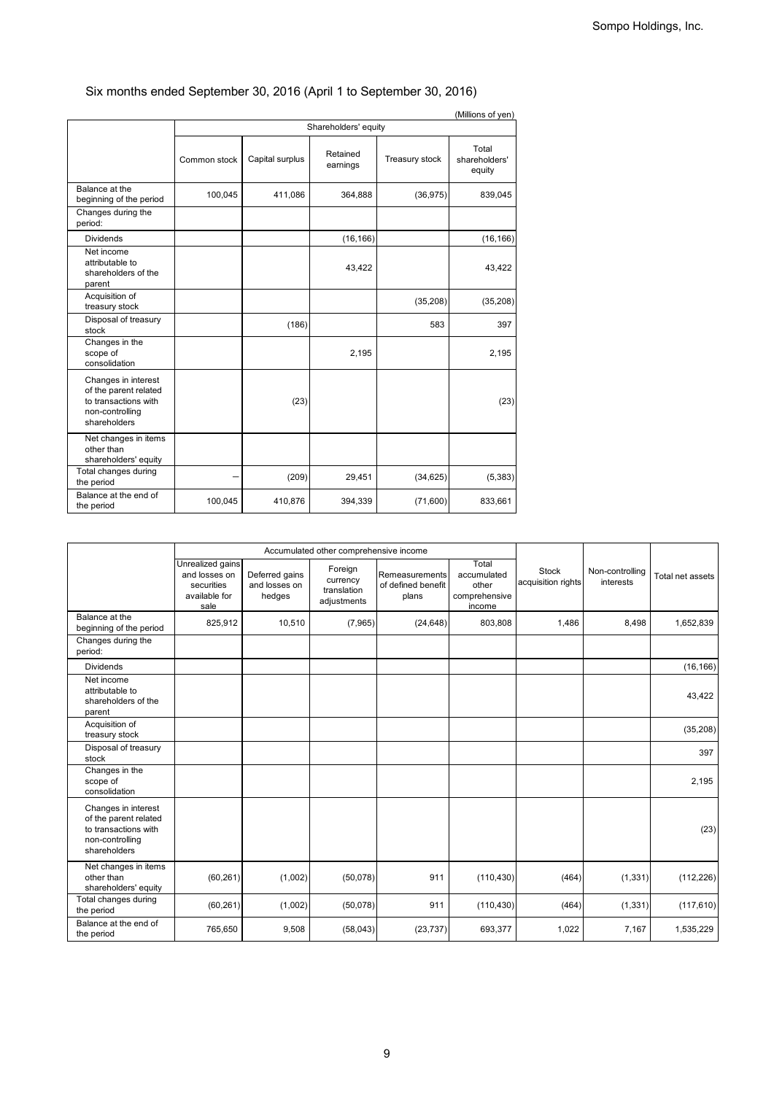### Six months ended September 30, 2016 (April 1 to September 30, 2016)

|                                                                                                         |              |                 |                      |                | (Millions of yen)                |
|---------------------------------------------------------------------------------------------------------|--------------|-----------------|----------------------|----------------|----------------------------------|
|                                                                                                         |              |                 | Shareholders' equity |                |                                  |
|                                                                                                         | Common stock | Capital surplus | Retained<br>earnings | Treasury stock | Total<br>shareholders'<br>equity |
| Balance at the<br>beginning of the period                                                               | 100,045      | 411,086         | 364,888              | (36, 975)      | 839,045                          |
| Changes during the<br>period:                                                                           |              |                 |                      |                |                                  |
| <b>Dividends</b>                                                                                        |              |                 | (16, 166)            |                | (16, 166)                        |
| Net income<br>attributable to<br>shareholders of the<br>parent                                          |              |                 | 43,422               |                | 43.422                           |
| Acquisition of<br>treasury stock                                                                        |              |                 |                      | (35, 208)      | (35, 208)                        |
| Disposal of treasury<br>stock                                                                           |              | (186)           |                      | 583            | 397                              |
| Changes in the<br>scope of<br>consolidation                                                             |              |                 | 2,195                |                | 2,195                            |
| Changes in interest<br>of the parent related<br>to transactions with<br>non-controlling<br>shareholders |              | (23)            |                      |                | (23)                             |
| Net changes in items<br>other than<br>shareholders' equity                                              |              |                 |                      |                |                                  |
| Total changes during<br>the period                                                                      |              | (209)           | 29,451               | (34, 625)      | (5, 383)                         |
| Balance at the end of<br>the period                                                                     | 100,045      | 410,876         | 394,339              | (71,600)       | 833.661                          |

|                                                                                                         |                                                                          |                                           |                                                   |                                               |                                                          |                             |                              | Sompo Holdings, Inc. |
|---------------------------------------------------------------------------------------------------------|--------------------------------------------------------------------------|-------------------------------------------|---------------------------------------------------|-----------------------------------------------|----------------------------------------------------------|-----------------------------|------------------------------|----------------------|
|                                                                                                         |                                                                          |                                           |                                                   |                                               |                                                          |                             |                              |                      |
| Six months ended September 30, 2016 (April 1 to September 30, 2016)                                     |                                                                          |                                           |                                                   |                                               | (Millions of yen)                                        |                             |                              |                      |
|                                                                                                         |                                                                          |                                           | Shareholders' equity                              |                                               |                                                          |                             |                              |                      |
|                                                                                                         | Common stock                                                             | Capital surplus                           | Retained<br>earnings                              | Treasury stock                                | Total<br>shareholders'<br>equity                         |                             |                              |                      |
| Balance at the<br>beginning of the period                                                               | 100,045                                                                  | 411,086                                   | 364,888                                           | (36, 975)                                     | 839,045                                                  |                             |                              |                      |
| Changes during the<br>period:                                                                           |                                                                          |                                           |                                                   |                                               |                                                          |                             |                              |                      |
| <b>Dividends</b><br>Net income                                                                          |                                                                          |                                           | (16, 166)                                         |                                               | (16, 166)                                                |                             |                              |                      |
| attributable to<br>shareholders of the<br>parent                                                        |                                                                          |                                           | 43,422                                            |                                               | 43,422                                                   |                             |                              |                      |
| Acquisition of<br>treasury stock                                                                        |                                                                          |                                           |                                                   | (35, 208)                                     | (35, 208)                                                |                             |                              |                      |
| Disposal of treasury<br>stock                                                                           |                                                                          | (186)                                     |                                                   | 583                                           | 397                                                      |                             |                              |                      |
| Changes in the<br>scope of<br>consolidation                                                             |                                                                          |                                           | 2,195                                             |                                               | 2,195                                                    |                             |                              |                      |
| Changes in interest<br>of the parent related<br>to transactions with<br>non-controlling<br>shareholders |                                                                          | (23)                                      |                                                   |                                               | (23)                                                     |                             |                              |                      |
| Net changes in items<br>other than<br>shareholders' equity                                              |                                                                          |                                           |                                                   |                                               |                                                          |                             |                              |                      |
| Total changes during<br>the period                                                                      |                                                                          | (209)                                     | 29,451                                            | (34, 625)                                     | (5, 383)                                                 |                             |                              |                      |
| Balance at the end of<br>the period                                                                     | 100,045                                                                  | 410,876                                   | 394,339                                           | (71,600)                                      | 833,661                                                  |                             |                              |                      |
|                                                                                                         |                                                                          |                                           |                                                   |                                               |                                                          |                             |                              |                      |
|                                                                                                         |                                                                          |                                           | Accumulated other comprehensive income            |                                               |                                                          |                             |                              |                      |
|                                                                                                         | Unrealized gains<br>and losses on<br>securities<br>available for<br>sale | Deferred gains<br>and losses on<br>hedges | Foreign<br>currency<br>translation<br>adjustments | Remeasurements<br>of defined benefit<br>plans | Total<br>accumulated<br>other<br>comprehensive<br>income | Stock<br>acquisition rights | Non-controlling<br>interests | Total net assets     |
| Balance at the<br>beginning of the period                                                               | 825,912                                                                  | 10,510                                    | (7,965)                                           | (24, 648)                                     | 803,808                                                  | 1,486                       | 8,498                        | 1,652,839            |
| Changes during the<br>period:                                                                           |                                                                          |                                           |                                                   |                                               |                                                          |                             |                              |                      |
| Dividends                                                                                               |                                                                          |                                           |                                                   |                                               |                                                          |                             |                              | (16, 166)            |
| Net income<br>attributable to<br>shareholders of the<br>parent                                          |                                                                          |                                           |                                                   |                                               |                                                          |                             |                              | 43,422               |
| Acquisition of<br>treasury stock                                                                        |                                                                          |                                           |                                                   |                                               |                                                          |                             |                              | (35, 208)            |
| Disposal of treasury<br>stock                                                                           |                                                                          |                                           |                                                   |                                               |                                                          |                             |                              | 397                  |
| Changes in the<br>scope of<br>consolidation                                                             |                                                                          |                                           |                                                   |                                               |                                                          |                             |                              | 2,195                |
| Changes in interest<br>of the parent related<br>to transactions with<br>non-controlling<br>shareholders |                                                                          |                                           |                                                   |                                               |                                                          |                             |                              | (23)                 |
| Net changes in items<br>other than<br>shareholders' equity                                              | (60, 261)                                                                | (1,002)                                   | (50, 078)                                         | 911                                           | (110, 430)                                               | (464)                       | (1, 331)                     | (112, 226)           |
| Total changes during<br>the period                                                                      | (60, 261)                                                                | (1,002)                                   | (50,078)                                          | 911                                           | (110, 430)                                               | (464)                       | (1, 331)                     | (117, 610)           |
| Balance at the end of<br>the period                                                                     | 765,650                                                                  | 9,508                                     | (58, 043)                                         | (23, 737)                                     | 693,377                                                  | 1,022                       | 7,167                        | 1,535,229            |
|                                                                                                         |                                                                          |                                           |                                                   | 9                                             |                                                          |                             |                              |                      |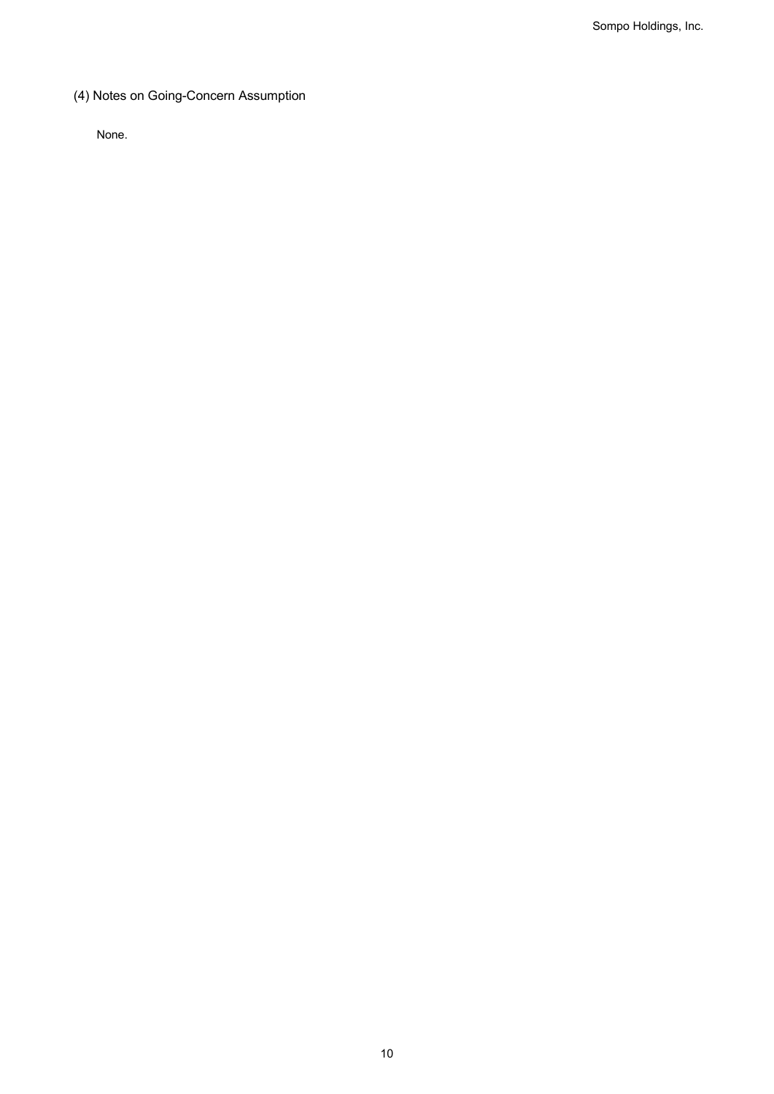(4) Notes on Going-Concern Assumption

None.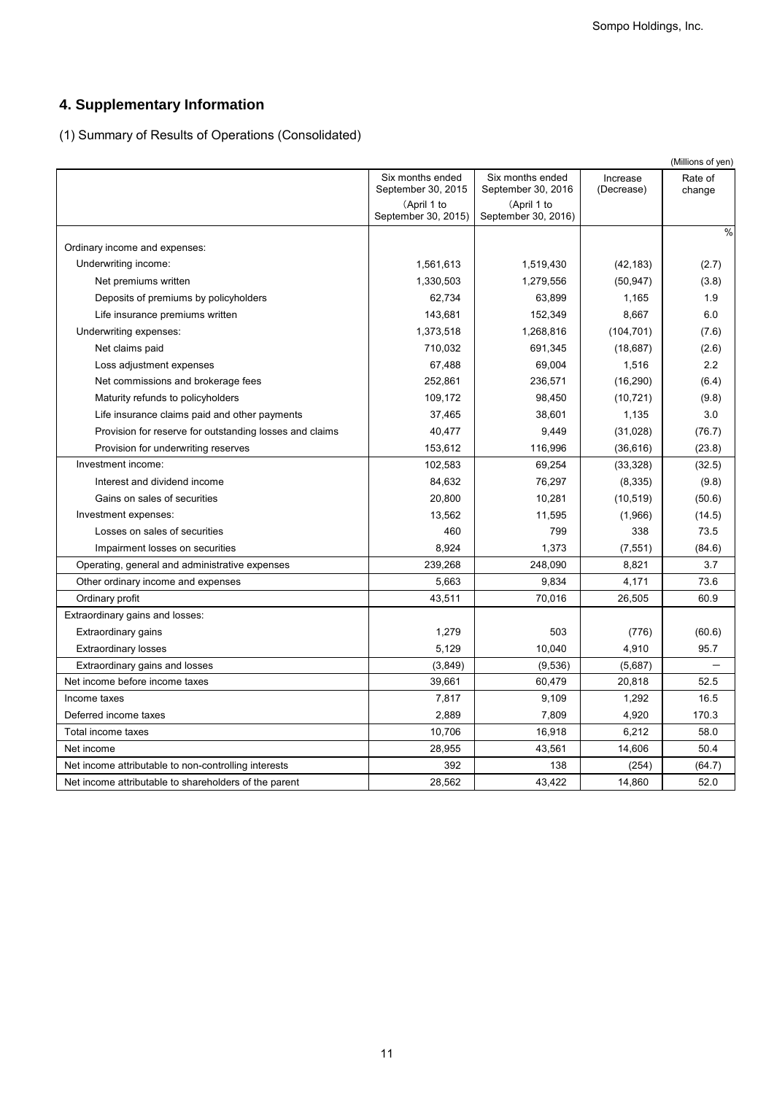## **4. Supplementary Information**

|                                                                                      |                                    |                                    | Sompo Holdings, Inc. |                   |
|--------------------------------------------------------------------------------------|------------------------------------|------------------------------------|----------------------|-------------------|
|                                                                                      |                                    |                                    |                      |                   |
|                                                                                      |                                    |                                    |                      |                   |
|                                                                                      |                                    |                                    |                      |                   |
| 4. Supplementary Information                                                         |                                    |                                    |                      |                   |
|                                                                                      |                                    |                                    |                      |                   |
| (1) Summary of Results of Operations (Consolidated)                                  |                                    |                                    |                      |                   |
|                                                                                      |                                    |                                    |                      | (Millions of yen) |
|                                                                                      | Six months ended                   | Six months ended                   | Increase             | Rate of           |
|                                                                                      | September 30, 2015                 | September 30, 2016                 | (Decrease)           | change            |
|                                                                                      | (April 1 to<br>September 30, 2015) | (April 1 to<br>September 30, 2016) |                      |                   |
|                                                                                      |                                    |                                    |                      | $\%$              |
| Ordinary income and expenses:                                                        |                                    |                                    |                      |                   |
| Underwriting income:                                                                 | 1,561,613                          | 1,519,430                          | (42, 183)            | (2.7)             |
| Net premiums written                                                                 | 1,330,503                          | 1,279,556                          | (50, 947)            | (3.8)             |
| Deposits of premiums by policyholders                                                | 62,734                             | 63,899                             | 1,165                | 1.9               |
| Life insurance premiums written                                                      | 143,681                            | 152,349                            | 8,667                | 6.0               |
| Underwriting expenses:                                                               | 1,373,518                          | 1,268,816                          | (104, 701)           | (7.6)             |
| Net claims paid                                                                      | 710,032                            | 691,345                            | (18,687)             | (2.6)             |
| Loss adjustment expenses                                                             | 67,488                             | 69,004                             | 1,516                | 2.2               |
| Net commissions and brokerage fees                                                   | 252,861                            | 236,571                            | (16, 290)            | (6.4)             |
| Maturity refunds to policyholders                                                    | 109,172                            | 98,450                             | (10, 721)            | (9.8)             |
| Life insurance claims paid and other payments                                        | 37,465                             | 38,601                             | 1,135                | 3.0               |
| Provision for reserve for outstanding losses and claims                              | 40,477                             | 9,449                              | (31, 028)            | (76.7)            |
| Provision for underwriting reserves                                                  | 153,612                            | 116,996                            | (36, 616)            | (23.8)            |
| Investment income:                                                                   | 102,583                            | 69,254                             | (33, 328)            | (32.5)            |
| Interest and dividend income                                                         | 84,632                             | 76,297                             | (8,335)              | (9.8)             |
| Gains on sales of securities                                                         | 20,800                             | 10,281                             | (10, 519)            | (50.6)            |
| Investment expenses:                                                                 | 13,562                             | 11,595                             | (1,966)              | (14.5)            |
| Losses on sales of securities                                                        | 460                                | 799                                | 338                  | 73.5              |
| Impairment losses on securities                                                      | 8,924                              | 1,373<br>248,090                   | (7, 551)             | (84.6)            |
| Operating, general and administrative expenses<br>Other ordinary income and expenses | 239,268<br>5,663                   | 9,834                              | 8,821<br>4,171       | 3.7<br>73.6       |
| Ordinary profit                                                                      | 43,511                             | 70,016                             | 26,505               | 60.9              |
| Extraordinary gains and losses:                                                      |                                    |                                    |                      |                   |
| Extraordinary gains                                                                  | 1,279                              | 503                                | (776)                | (60.6)            |
| <b>Extraordinary losses</b>                                                          | 5,129                              | 10,040                             | 4,910                | 95.7              |
| Extraordinary gains and losses                                                       | (3,849)                            | (9,536)                            | (5,687)              |                   |
| Net income before income taxes                                                       | 39,661                             | 60,479                             | 20,818               | 52.5              |
| Income taxes                                                                         | 7,817                              | 9,109                              | 1,292                | 16.5              |
| Deferred income taxes                                                                | 2,889                              | 7,809                              | 4,920                | 170.3             |
| Total income taxes                                                                   | 10,706                             | 16,918                             | 6,212                | 58.0              |
| Net income                                                                           | 28,955                             | 43,561                             | 14,606               | 50.4              |
| Net income attributable to non-controlling interests                                 | 392                                | 138                                | (254)                | (64.7)            |
|                                                                                      |                                    |                                    |                      |                   |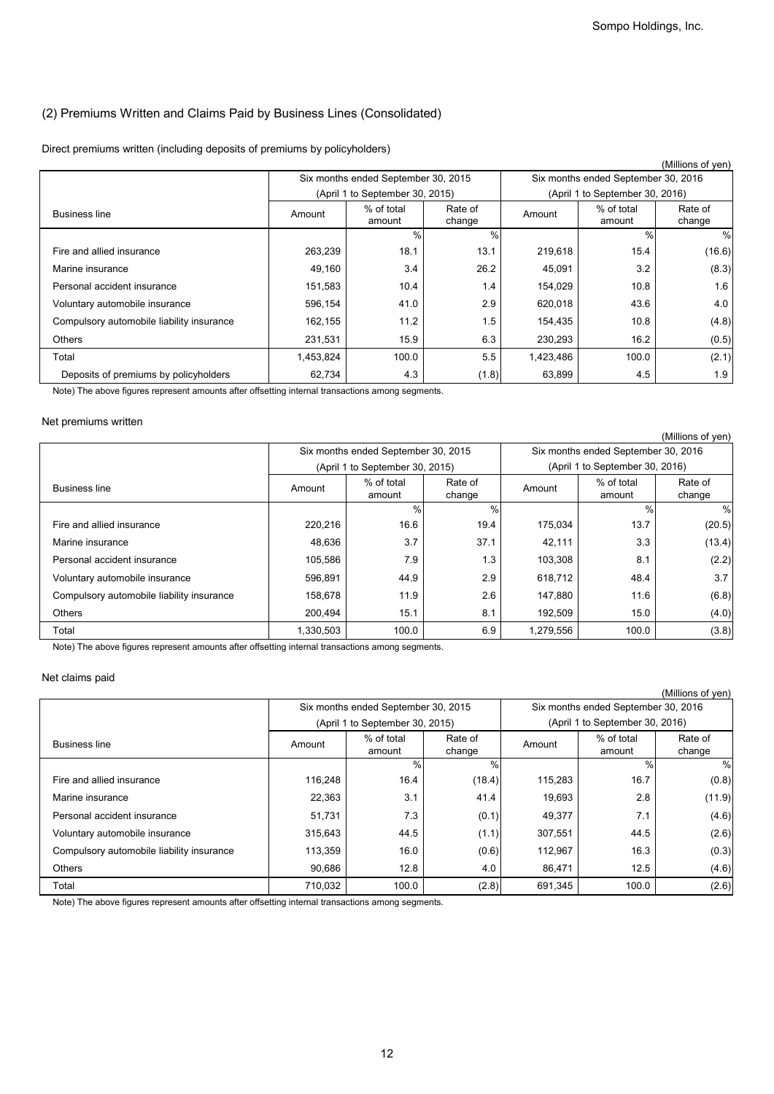### (2) Premiums Written and Claims Paid by Business Lines (Consolidated)

### Direct premiums written (including deposits of premiums by policyholders)

|                                                                                                                          |                    |                                               |                       |                    |                                               | (Millions of yen)          |
|--------------------------------------------------------------------------------------------------------------------------|--------------------|-----------------------------------------------|-----------------------|--------------------|-----------------------------------------------|----------------------------|
|                                                                                                                          |                    | Six months ended September 30, 2015           |                       |                    | Six months ended September 30, 2016           |                            |
|                                                                                                                          |                    | (April 1 to September 30, 2015)<br>% of total | Rate of               |                    | (April 1 to September 30, 2016)<br>% of total | Rate of                    |
| <b>Business line</b>                                                                                                     | Amount             | amount                                        | change                | Amount             | amount                                        | change                     |
| Fire and allied insurance                                                                                                | 263,239            | $\%$<br>18.1                                  | $\frac{0}{0}$<br>13.1 | 219,618            | $\frac{0}{0}$<br>15.4                         | $\%$<br>(16.6)             |
| Marine insurance                                                                                                         | 49,160             | 3.4                                           | 26.2                  | 45,091             | 3.2                                           | (8.3)                      |
| Personal accident insurance                                                                                              | 151,583            | 10.4                                          | 1.4                   | 154,029            | 10.8                                          | 1.6                        |
| Voluntary automobile insurance                                                                                           | 596,154            | 41.0                                          | 2.9                   | 620,018            | 43.6                                          | 4.0                        |
| Compulsory automobile liability insurance                                                                                | 162,155            | 11.2                                          | 1.5                   | 154,435            | 10.8                                          | (4.8)                      |
| Others                                                                                                                   | 231,531            | 15.9                                          | 6.3                   | 230,293            | 16.2                                          | (0.5)                      |
| Total                                                                                                                    | 1,453,824          | 100.0                                         | 5.5                   | 1,423,486          | 100.0                                         | (2.1)                      |
| Deposits of premiums by policyholders                                                                                    | 62,734             | 4.3                                           | (1.8)                 | 63,899             | 4.5                                           | 1.9                        |
| Note) The above figures represent amounts after offsetting internal transactions among segments.<br>Net premiums written |                    |                                               |                       |                    |                                               |                            |
|                                                                                                                          |                    | Six months ended September 30, 2015           |                       |                    | Six months ended September 30, 2016           | (Millions of yen)          |
|                                                                                                                          |                    | (April 1 to September 30, 2015)               |                       |                    | (April 1 to September 30, 2016)               |                            |
| <b>Business line</b>                                                                                                     | Amount             | % of total<br>amount                          | Rate of<br>change     | Amount             | % of total<br>amount                          | Rate of<br>change          |
|                                                                                                                          |                    | $\%$                                          | $\frac{0}{0}$         |                    | $\frac{0}{0}$                                 | $\%$                       |
| Fire and allied insurance                                                                                                | 220,216            | 16.6                                          | 19.4                  | 175,034            | 13.7                                          | (20.5)                     |
| Marine insurance                                                                                                         | 48.636             | 3.7                                           | 37.1                  | 42,111             | 3.3                                           | (13.4)                     |
| Personal accident insurance                                                                                              | 105,586            | 7.9                                           | 1.3                   | 103,308            | 8.1                                           | (2.2)                      |
| Voluntary automobile insurance                                                                                           | 596,891            | 44.9                                          | 2.9                   | 618,712            | 48.4                                          | 3.7                        |
| Compulsory automobile liability insurance                                                                                | 158,678<br>200,494 | 11.9<br>15.1                                  | 2.6<br>8.1            | 147,880<br>192,509 | 11.6<br>15.0                                  | (6.8)                      |
|                                                                                                                          |                    |                                               |                       |                    |                                               | (4.0)                      |
| Others                                                                                                                   |                    |                                               |                       |                    |                                               |                            |
| Total<br>Note) The above figures represent amounts after offsetting internal transactions among segments.                | 1,330,503          | 100.0                                         | 6.9                   | 1,279,556          | 100.0                                         |                            |
|                                                                                                                          |                    |                                               |                       |                    |                                               | (3.8)<br>(Millions of yen) |
| Net claims paid                                                                                                          |                    | Six months ended September 30, 2015           |                       |                    | Six months ended September 30, 2016           |                            |
|                                                                                                                          |                    | (April 1 to September 30, 2015)               |                       |                    | (April 1 to September 30, 2016)               |                            |
| <b>Business line</b>                                                                                                     | Amount             | % of total<br>amount                          | Rate of<br>change     | Amount             | % of total<br>amount                          | Rate of<br>change          |
|                                                                                                                          |                    | $\%$                                          | $\%$                  |                    | $\frac{0}{0}$                                 | $\%$                       |
| Fire and allied insurance                                                                                                | 116,248            | 16.4                                          | (18.4)                | 115,283            | 16.7                                          | (0.8)                      |
| Marine insurance                                                                                                         | 22,363             | 3.1                                           | 41.4                  | 19,693             | 2.8                                           | (11.9)                     |
| Personal accident insurance                                                                                              | 51,731             | 7.3                                           | (0.1)                 | 49,377             | 7.1                                           | (4.6)                      |
| Voluntary automobile insurance                                                                                           | 315,643            | 44.5                                          | (1.1)                 | 307,551            | 44.5                                          | (2.6)                      |
| Compulsory automobile liability insurance                                                                                | 113,359            | 16.0                                          | (0.6)                 | 112,967            | 16.3                                          | (0.3)                      |
| Others<br>Total                                                                                                          | 90,686<br>710,032  | 12.8<br>100.0                                 | 4.0<br>(2.8)          | 86,471<br>691,345  | 12.5<br>100.0                                 | (4.6)<br>(2.6)             |

### Net premiums written

|                                           |           |                                     |                   |                                     |                                 | (Millions of yen) |
|-------------------------------------------|-----------|-------------------------------------|-------------------|-------------------------------------|---------------------------------|-------------------|
|                                           |           | Six months ended September 30, 2015 |                   | Six months ended September 30, 2016 |                                 |                   |
|                                           |           | (April 1 to September 30, 2015)     |                   |                                     | (April 1 to September 30, 2016) |                   |
| <b>Business line</b>                      | Amount    | % of total<br>amount                | Rate of<br>change | Amount                              | % of total<br>amount            | Rate of<br>change |
|                                           |           | $\%$                                | $\%$              |                                     | $\frac{0}{0}$                   | %                 |
| Fire and allied insurance                 | 220,216   | 16.6                                | 19.4              | 175,034                             | 13.7                            | (20.5)            |
| Marine insurance                          | 48,636    | 3.7                                 | 37.1              | 42,111                              | 3.3                             | (13.4)            |
| Personal accident insurance               | 105,586   | 7.9                                 | 1.3               | 103,308                             | 8.1                             | (2.2)             |
| Voluntary automobile insurance            | 596,891   | 44.9                                | 2.9               | 618,712                             | 48.4                            | 3.7 <sub>1</sub>  |
| Compulsory automobile liability insurance | 158,678   | 11.9                                | 2.6               | 147,880                             | 11.6                            | (6.8)             |
| <b>Others</b>                             | 200,494   | 15.1                                | 8.1               | 192,509                             | 15.0                            | (4.0)             |
| Total                                     | 1,330,503 | 100.0                               | 6.9               | 1,279,556                           | 100.0                           | (3.8)             |

### Net claims paid

|                                           |         |                                     |                   |         |                                     | (Millions of yen) |  |
|-------------------------------------------|---------|-------------------------------------|-------------------|---------|-------------------------------------|-------------------|--|
|                                           |         | Six months ended September 30, 2015 |                   |         | Six months ended September 30, 2016 |                   |  |
|                                           |         | (April 1 to September 30, 2015)     |                   |         | (April 1 to September 30, 2016)     |                   |  |
| <b>Business line</b>                      | Amount  | % of total<br>amount                | Rate of<br>change | Amount  | % of total<br>amount                | Rate of<br>change |  |
|                                           |         | $\frac{0}{0}$                       | %                 |         | $\frac{0}{6}$                       | %                 |  |
| Fire and allied insurance                 | 116,248 | 16.4                                | (18.4)            | 115,283 | 16.7                                | (0.8)             |  |
| Marine insurance                          | 22,363  | 3.1                                 | 41.4              | 19,693  | 2.8                                 | (11.9)            |  |
| Personal accident insurance               | 51,731  | 7.3                                 | (0.1)             | 49,377  | 7.1                                 | (4.6)             |  |
| Voluntary automobile insurance            | 315,643 | 44.5                                | (1.1)             | 307,551 | 44.5                                | (2.6)             |  |
| Compulsory automobile liability insurance | 113,359 | 16.0                                | (0.6)             | 112,967 | 16.3                                | (0.3)             |  |
| <b>Others</b>                             | 90.686  | 12.8                                | 4.0               | 86,471  | 12.5                                | (4.6)             |  |
| Total                                     | 710.032 | 100.0                               | (2.8)             | 691.345 | 100.0                               | (2.6)             |  |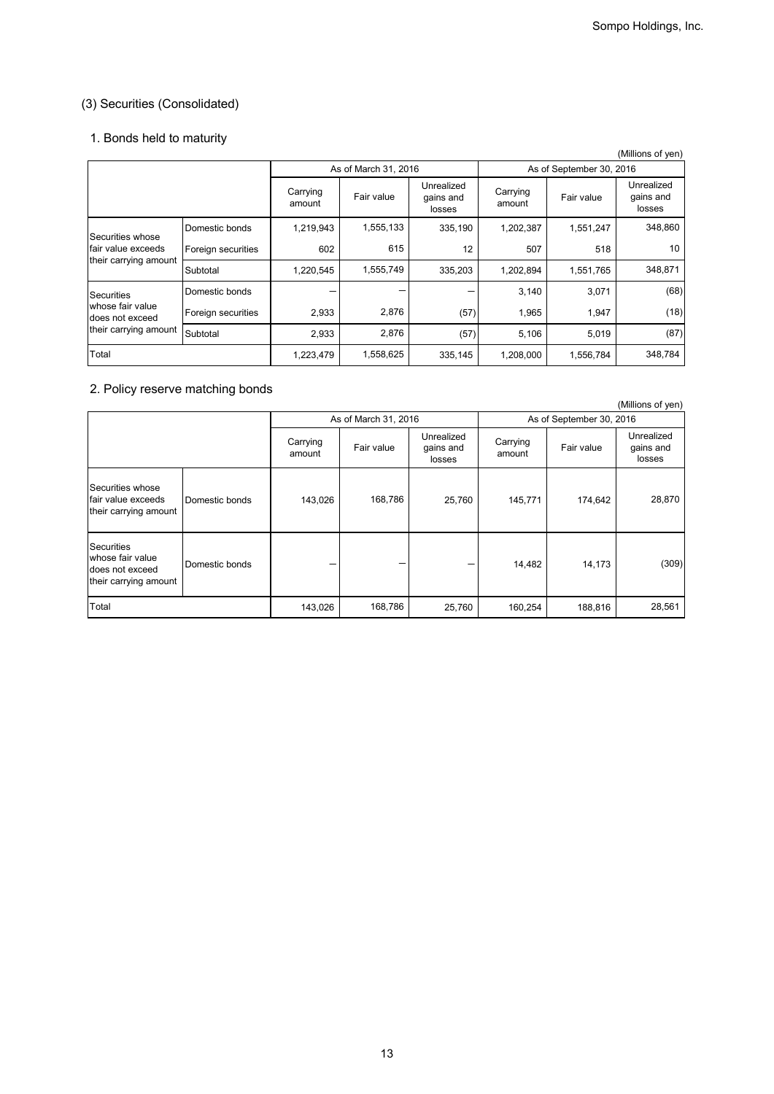## (3) Securities (Consolidated)

## 1. Bonds held to maturity

| As of March 31, 2016<br>As of September 30, 2016<br>Unrealized<br>Carrying<br>Carrying<br>Fair value<br>gains and<br>gains and<br>Fair value<br>amount<br>amount<br>losses<br>losses<br>1,555,133<br>Domestic bonds<br>335,190<br>1,551,247<br>1,219,943<br>1,202,387<br>Securities whose<br>fair value exceeds<br>615<br>Foreign securities<br>602<br>12<br>507<br>518<br>their carrying amount<br>1,555,749<br>1,220,545<br>335,203<br>1,202,894<br>1,551,765<br>Subtotal<br>3,140<br>Domestic bonds<br>3,071<br>-<br>Securities<br>whose fair value<br>2,876<br>Foreign securities<br>2,933<br>(57)<br>1,965<br>1,947<br>does not exceed<br>their carrying amount<br>Subtotal<br>2,933<br>2,876<br>5,106<br>(57)<br>5,019<br>Total<br>1,558,625<br>1,223,479<br>335,145<br>1,208,000<br>1,556,784<br>2. Policy reserve matching bonds<br>As of March 31, 2016<br>As of September 30, 2016<br>Unrealized<br>Carrying<br>Carrying<br>Fair value<br>gains and<br>gains and<br>Fair value<br>amount<br>amount<br>losses<br>losses<br>Securities whose<br>fair value exceeds<br>168,786<br>25,760<br>145,771<br>Domestic bonds<br>143,026<br>174,642<br>their carrying amount<br>Securities<br>whose fair value<br>Domestic bonds<br>14,482<br>14,173<br>does not exceed<br>their carrying amount<br>Total<br>168,786<br>160,254<br>188,816<br>143,026<br>25,760 | Unrealized<br>(Millions of yen) | 1. Bonds held to maturity |  |  |  | (Millions of yen) |
|----------------------------------------------------------------------------------------------------------------------------------------------------------------------------------------------------------------------------------------------------------------------------------------------------------------------------------------------------------------------------------------------------------------------------------------------------------------------------------------------------------------------------------------------------------------------------------------------------------------------------------------------------------------------------------------------------------------------------------------------------------------------------------------------------------------------------------------------------------------------------------------------------------------------------------------------------------------------------------------------------------------------------------------------------------------------------------------------------------------------------------------------------------------------------------------------------------------------------------------------------------------------------------------------------------------------------------------------------------------|---------------------------------|---------------------------|--|--|--|-------------------|
|                                                                                                                                                                                                                                                                                                                                                                                                                                                                                                                                                                                                                                                                                                                                                                                                                                                                                                                                                                                                                                                                                                                                                                                                                                                                                                                                                                |                                 |                           |  |  |  |                   |
|                                                                                                                                                                                                                                                                                                                                                                                                                                                                                                                                                                                                                                                                                                                                                                                                                                                                                                                                                                                                                                                                                                                                                                                                                                                                                                                                                                |                                 |                           |  |  |  |                   |
|                                                                                                                                                                                                                                                                                                                                                                                                                                                                                                                                                                                                                                                                                                                                                                                                                                                                                                                                                                                                                                                                                                                                                                                                                                                                                                                                                                |                                 |                           |  |  |  | 348,860           |
|                                                                                                                                                                                                                                                                                                                                                                                                                                                                                                                                                                                                                                                                                                                                                                                                                                                                                                                                                                                                                                                                                                                                                                                                                                                                                                                                                                |                                 |                           |  |  |  | 10                |
|                                                                                                                                                                                                                                                                                                                                                                                                                                                                                                                                                                                                                                                                                                                                                                                                                                                                                                                                                                                                                                                                                                                                                                                                                                                                                                                                                                |                                 |                           |  |  |  | 348,871           |
|                                                                                                                                                                                                                                                                                                                                                                                                                                                                                                                                                                                                                                                                                                                                                                                                                                                                                                                                                                                                                                                                                                                                                                                                                                                                                                                                                                |                                 |                           |  |  |  | (68)              |
|                                                                                                                                                                                                                                                                                                                                                                                                                                                                                                                                                                                                                                                                                                                                                                                                                                                                                                                                                                                                                                                                                                                                                                                                                                                                                                                                                                |                                 |                           |  |  |  | (18)              |
|                                                                                                                                                                                                                                                                                                                                                                                                                                                                                                                                                                                                                                                                                                                                                                                                                                                                                                                                                                                                                                                                                                                                                                                                                                                                                                                                                                |                                 |                           |  |  |  | (87)              |
|                                                                                                                                                                                                                                                                                                                                                                                                                                                                                                                                                                                                                                                                                                                                                                                                                                                                                                                                                                                                                                                                                                                                                                                                                                                                                                                                                                |                                 |                           |  |  |  | 348,784           |
|                                                                                                                                                                                                                                                                                                                                                                                                                                                                                                                                                                                                                                                                                                                                                                                                                                                                                                                                                                                                                                                                                                                                                                                                                                                                                                                                                                |                                 |                           |  |  |  | Unrealized        |
|                                                                                                                                                                                                                                                                                                                                                                                                                                                                                                                                                                                                                                                                                                                                                                                                                                                                                                                                                                                                                                                                                                                                                                                                                                                                                                                                                                |                                 |                           |  |  |  | 28,870            |
|                                                                                                                                                                                                                                                                                                                                                                                                                                                                                                                                                                                                                                                                                                                                                                                                                                                                                                                                                                                                                                                                                                                                                                                                                                                                                                                                                                |                                 |                           |  |  |  | (309)             |
|                                                                                                                                                                                                                                                                                                                                                                                                                                                                                                                                                                                                                                                                                                                                                                                                                                                                                                                                                                                                                                                                                                                                                                                                                                                                                                                                                                |                                 |                           |  |  |  |                   |
|                                                                                                                                                                                                                                                                                                                                                                                                                                                                                                                                                                                                                                                                                                                                                                                                                                                                                                                                                                                                                                                                                                                                                                                                                                                                                                                                                                |                                 |                           |  |  |  | 28,561            |
|                                                                                                                                                                                                                                                                                                                                                                                                                                                                                                                                                                                                                                                                                                                                                                                                                                                                                                                                                                                                                                                                                                                                                                                                                                                                                                                                                                |                                 |                           |  |  |  |                   |
|                                                                                                                                                                                                                                                                                                                                                                                                                                                                                                                                                                                                                                                                                                                                                                                                                                                                                                                                                                                                                                                                                                                                                                                                                                                                                                                                                                |                                 |                           |  |  |  |                   |
|                                                                                                                                                                                                                                                                                                                                                                                                                                                                                                                                                                                                                                                                                                                                                                                                                                                                                                                                                                                                                                                                                                                                                                                                                                                                                                                                                                |                                 |                           |  |  |  |                   |
|                                                                                                                                                                                                                                                                                                                                                                                                                                                                                                                                                                                                                                                                                                                                                                                                                                                                                                                                                                                                                                                                                                                                                                                                                                                                                                                                                                |                                 |                           |  |  |  |                   |

## 2. Policy reserve matching bonds

|                                                                            |                |                    |                      |                                   |                    |                          | (Millions of yen)                 |
|----------------------------------------------------------------------------|----------------|--------------------|----------------------|-----------------------------------|--------------------|--------------------------|-----------------------------------|
|                                                                            |                |                    | As of March 31, 2016 |                                   |                    | As of September 30, 2016 |                                   |
|                                                                            |                | Carrying<br>amount | Fair value           | Unrealized<br>gains and<br>losses | Carrying<br>amount | Fair value               | Unrealized<br>gains and<br>losses |
| Securities whose<br>fair value exceeds<br>their carrying amount            | Domestic bonds | 143,026            | 168,786              | 25,760                            | 145,771            | 174,642                  | 28,870                            |
| Securities<br>whose fair value<br>does not exceed<br>their carrying amount | Domestic bonds |                    |                      |                                   | 14,482             | 14,173                   | (309)                             |
| Total                                                                      |                | 143,026            | 168,786              | 25,760                            | 160,254            | 188,816                  | 28,561                            |